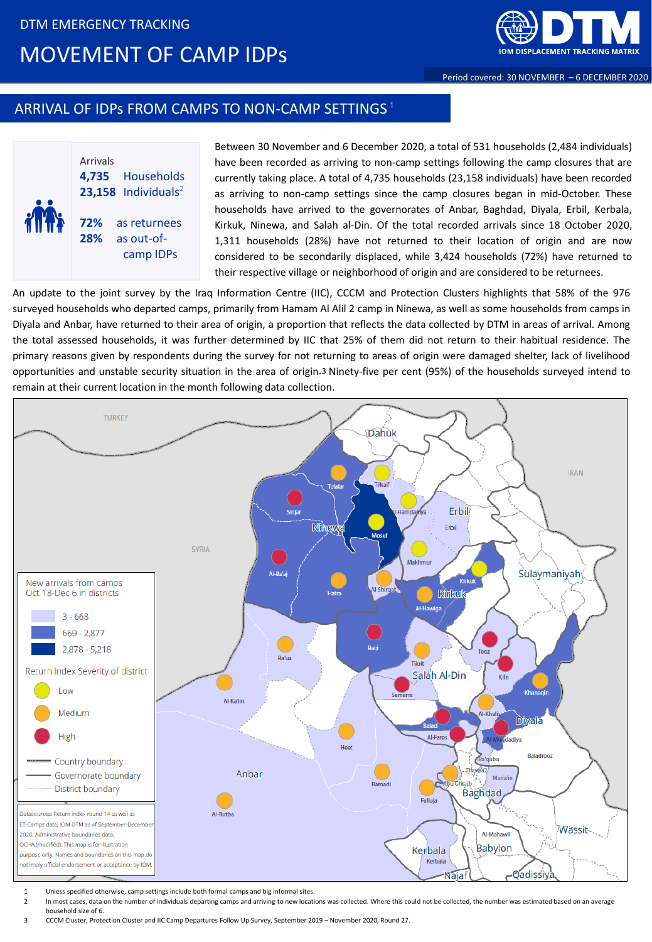

Period covered: 30 NOVEMBER – 6 DECEMBER 2020

## ARRIVAL OF IDPs FROM CAMPS TO NON-CAMP SETTINGS  $^{\rm 1}$



Between 30 November and 6 December 2020, a total of 531 households (2,484 individuals) have been recorded as arriving to non-camp settings following the camp closures that are currently taking place. A total of 4,735 households (23,158 individuals) have been recorded as arriving to non-camp settings since the camp closures began in mid-October. These households have arrived to the governorates of Anbar, Baghdad, Diyala, Erbil, Kerbala, Kirkuk, Ninewa, and Salah al-Din. Of the total recorded arrivals since 18 October 2020, 1,311 households (28%) have not returned to their location of origin and are now considered to be secondarily displaced, while 3,424 households (72%) have returned to their respective village or neighborhood of origin and are considered to be returnees.

An update to the joint survey by the Iraq Information Centre (IIC), CCCM and Protection Clusters highlights that 58% of the 976 surveyed households who departed camps, primarily from Hamam Al Alil 2 camp in Ninewa, as well as some households from camps in Diyala and Anbar, have returned to their area of origin, a proportion that reflects the data collected by DTM in areas of arrival. Among the total assessed households, it was further determined by IIC that 25% of them did not return to their habitual residence. The primary reasons given by respondents during the survey for not returning to areas of origin were damaged shelter, lack of livelihood opportunities and unstable security situation in the area of origin.<sup>3</sup> Ninety-five per cent (95%) of the households surveyed intend to remain at their current location in the month following data collection.



- 1 Unless specified otherwise, camp settings include both formal camps and big informal sites.
- In most cases, data on the number of individuals departing camps and arriving to new locations was collected. Where this could not be collected, the number was estimated based on an average household size of 6.
- 3 CCCM Cluster, Protection Cluster and IIC Camp Departures Follow Up Survey, September 2019 November 2020, Round 27.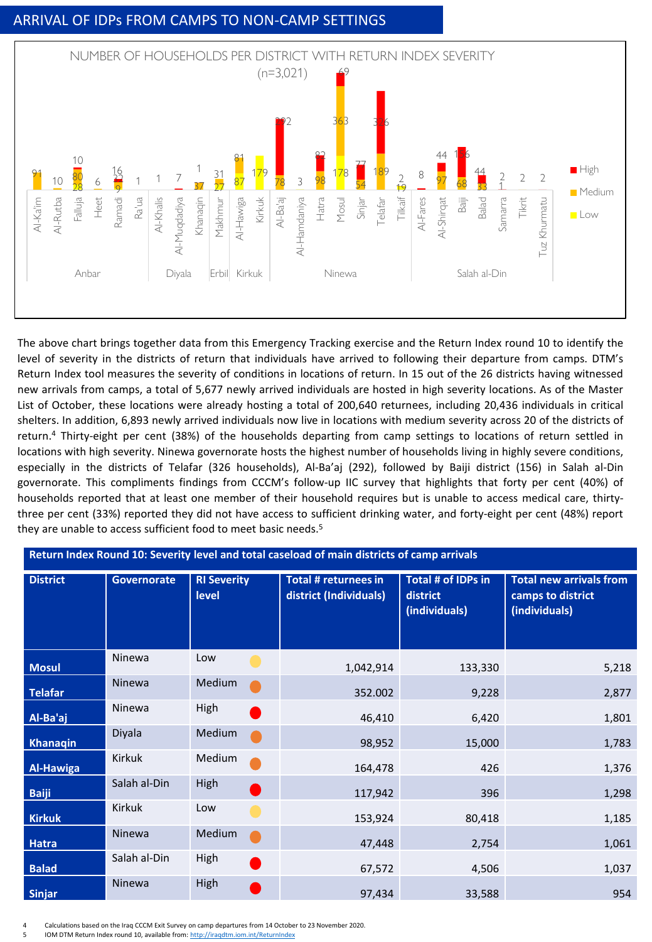## ARRIVAL OF IDPs FROM CAMPS TO NON-CAMP SETTINGS



The above chart brings together data from this Emergency Tracking exercise and the Return Index round 10 to identify the level of severity in the districts of return that individuals have arrived to following their departure from camps. DTM's Return Index tool measures the severity of conditions in locations of return. In 15 out of the 26 districts having witnessed new arrivals from camps, a total of 5,677 newly arrived individuals are hosted in high severity locations. As of the Master List of October, these locations were already hosting a total of 200,640 returnees, including 20,436 individuals in critical shelters. In addition, 6,893 newly arrived individuals now live in locations with medium severity across 20 of the districts of return. <sup>4</sup> Thirty-eight per cent (38%) of the households departing from camp settings to locations of return settled in locations with high severity. Ninewa governorate hosts the highest number of households living in highly severe conditions, especially in the districts of Telafar (326 households), Al-Ba'aj (292), followed by Baiji district (156) in Salah al-Din governorate. This compliments findings from CCCM's follow-up IIC survey that highlights that forty per cent (40%) of households reported that at least one member of their household requires but is unable to access medical care, thirtythree per cent (33%) reported they did not have access to sufficient drinking water, and forty-eight per cent (48%) report they are unable to access sufficient food to meet basic needs. 5

| Return Index Round 10: Severity level and total caseload of main districts of camp arrivals |                    |                             |                                                |                                                 |                                                                      |
|---------------------------------------------------------------------------------------------|--------------------|-----------------------------|------------------------------------------------|-------------------------------------------------|----------------------------------------------------------------------|
| <b>District</b>                                                                             | <b>Governorate</b> | <b>RI Severity</b><br>level | Total # returnees in<br>district (Individuals) | Total # of IDPs in<br>district<br>(individuals) | <b>Total new arrivals from</b><br>camps to district<br>(individuals) |
| <b>Mosul</b>                                                                                | Ninewa             | Low                         | 1,042,914                                      | 133,330                                         | 5,218                                                                |
| <b>Telafar</b>                                                                              | Ninewa             | Medium                      | 352.002                                        | 9,228                                           | 2,877                                                                |
| Al-Ba'aj                                                                                    | Ninewa             | High                        | 46,410                                         | 6,420                                           | 1,801                                                                |
| <b>Khanaqin</b>                                                                             | Diyala             | Medium                      | 98,952                                         | 15,000                                          | 1,783                                                                |
| <b>Al-Hawiga</b>                                                                            | Kirkuk             | Medium                      | 164,478                                        | 426                                             | 1,376                                                                |
| <b>Baiji</b>                                                                                | Salah al-Din       | High                        | 117,942                                        | 396                                             | 1,298                                                                |
| <b>Kirkuk</b>                                                                               | Kirkuk             | Low                         | 153,924                                        | 80,418                                          | 1,185                                                                |
| Hatra                                                                                       | Ninewa             | Medium                      | 47,448                                         | 2,754                                           | 1,061                                                                |
| <b>Balad</b>                                                                                | Salah al-Din       | High                        | 67,572                                         | 4,506                                           | 1,037                                                                |
| <b>Sinjar</b>                                                                               | Ninewa             | High                        | 97,434                                         | 33,588                                          | 954                                                                  |

4 Calculations based on the Iraq CCCM Exit Survey on camp departures from 14 October to 23 November 2020.

5 IOM DTM Return Index round 10, available from: <http://iraqdtm.iom.int/ReturnIndex>